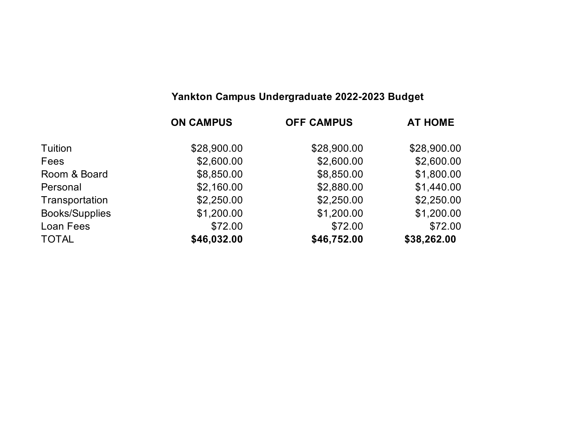# **Yankton Campus Undergraduate 2022-2023 Budget**

|                       | <b>ON CAMPUS</b> | <b>OFF CAMPUS</b> | <b>AT HOME</b> |
|-----------------------|------------------|-------------------|----------------|
| Tuition               | \$28,900.00      | \$28,900.00       | \$28,900.00    |
| Fees                  | \$2,600.00       | \$2,600.00        | \$2,600.00     |
| Room & Board          | \$8,850.00       | \$8,850.00        | \$1,800.00     |
| Personal              | \$2,160.00       | \$2,880.00        | \$1,440.00     |
| Transportation        | \$2,250.00       | \$2,250.00        | \$2,250.00     |
| <b>Books/Supplies</b> | \$1,200.00       | \$1,200.00        | \$1,200.00     |
| Loan Fees             | \$72.00          | \$72.00           | \$72.00        |
| <b>TOTAL</b>          | \$46,032.00      | \$46,752.00       | \$38,262.00    |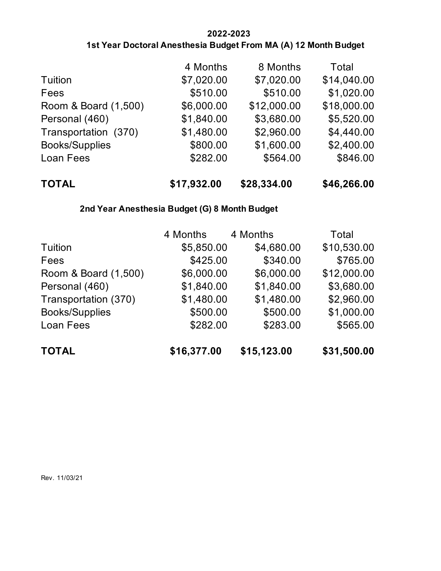### **2022-2023 1st Year Doctoral Anesthesia Budget From MA (A) 12 Month Budget**

| <b>TOTAL</b>          | \$17,932.00 | \$28,334.00 | \$46,266.00 |
|-----------------------|-------------|-------------|-------------|
| Loan Fees             | \$282.00    | \$564.00    | \$846.00    |
| <b>Books/Supplies</b> | \$800.00    | \$1,600.00  | \$2,400.00  |
| Transportation (370)  | \$1,480.00  | \$2,960.00  | \$4,440.00  |
| Personal (460)        | \$1,840.00  | \$3,680.00  | \$5,520.00  |
| Room & Board (1,500)  | \$6,000.00  | \$12,000.00 | \$18,000.00 |
| Fees                  | \$510.00    | \$510.00    | \$1,020.00  |
| Tuition               | \$7,020.00  | \$7,020.00  | \$14,040.00 |
|                       | 4 Months    | 8 Months    | Total       |

## **2nd Year Anesthesia Budget (G) 8 Month Budget**

|                       | 4 Months    | 4 Months    | Total       |
|-----------------------|-------------|-------------|-------------|
| Tuition               | \$5,850.00  | \$4,680.00  | \$10,530.00 |
| Fees                  | \$425.00    | \$340.00    | \$765.00    |
| Room & Board (1,500)  | \$6,000.00  | \$6,000.00  | \$12,000.00 |
| Personal (460)        | \$1,840.00  | \$1,840.00  | \$3,680.00  |
| Transportation (370)  | \$1,480.00  | \$1,480.00  | \$2,960.00  |
| <b>Books/Supplies</b> | \$500.00    | \$500.00    | \$1,000.00  |
| Loan Fees             | \$282.00    | \$283.00    | \$565.00    |
| <b>TOTAL</b>          | \$16,377.00 | \$15,123.00 | \$31,500.00 |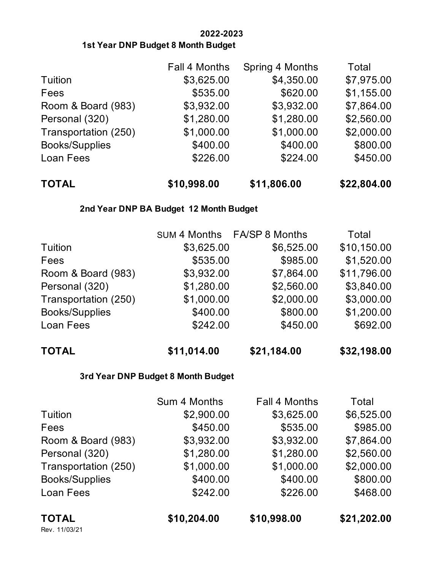### **2022-2023 1st Year DNP Budget 8 Month Budget**

| <b>TOTAL</b>          | \$10,998.00   | \$11,806.00     | \$22,804.00 |
|-----------------------|---------------|-----------------|-------------|
| Loan Fees             | \$226.00      | \$224.00        | \$450.00    |
| <b>Books/Supplies</b> | \$400.00      | \$400.00        | \$800.00    |
| Transportation (250)  | \$1,000.00    | \$1,000.00      | \$2,000.00  |
| Personal (320)        | \$1,280.00    | \$1,280.00      | \$2,560.00  |
| Room & Board (983)    | \$3,932.00    | \$3,932.00      | \$7,864.00  |
| Fees                  | \$535.00      | \$620.00        | \$1,155.00  |
| Tuition               | \$3,625.00    | \$4,350.00      | \$7,975.00  |
|                       | Fall 4 Months | Spring 4 Months | Total       |

### **2nd Year DNP BA Budget 12 Month Budget**

|                       |            | SUM 4 Months FA/SP 8 Months | Total       |
|-----------------------|------------|-----------------------------|-------------|
| Tuition               | \$3,625.00 | \$6,525.00                  | \$10,150.00 |
| Fees                  | \$535.00   | \$985.00                    | \$1,520.00  |
| Room & Board (983)    | \$3,932.00 | \$7,864.00                  | \$11,796.00 |
| Personal (320)        | \$1,280.00 | \$2,560.00                  | \$3,840.00  |
| Transportation (250)  | \$1,000.00 | \$2,000.00                  | \$3,000.00  |
| <b>Books/Supplies</b> | \$400.00   | \$800.00                    | \$1,200.00  |
| Loan Fees             | \$242.00   | \$450.00                    | \$692.00    |
|                       |            |                             |             |

| TOTAL | \$11,014.00 | \$21,184.00 | \$32,198.00 |
|-------|-------------|-------------|-------------|
|       |             |             |             |

### **3rd Year DNP Budget 8 Month Budget**

|                       | Sum 4 Months | Fall 4 Months | Total       |
|-----------------------|--------------|---------------|-------------|
| Tuition               | \$2,900.00   | \$3,625.00    | \$6,525.00  |
| Fees                  | \$450.00     | \$535.00      | \$985.00    |
| Room & Board (983)    | \$3,932.00   | \$3,932.00    | \$7,864.00  |
| Personal (320)        | \$1,280.00   | \$1,280.00    | \$2,560.00  |
| Transportation (250)  | \$1,000.00   | \$1,000.00    | \$2,000.00  |
| <b>Books/Supplies</b> | \$400.00     | \$400.00      | \$800.00    |
| Loan Fees             | \$242.00     | \$226.00      | \$468.00    |
| <b>TOTAL</b>          | \$10,204.00  | \$10,998.00   | \$21,202.00 |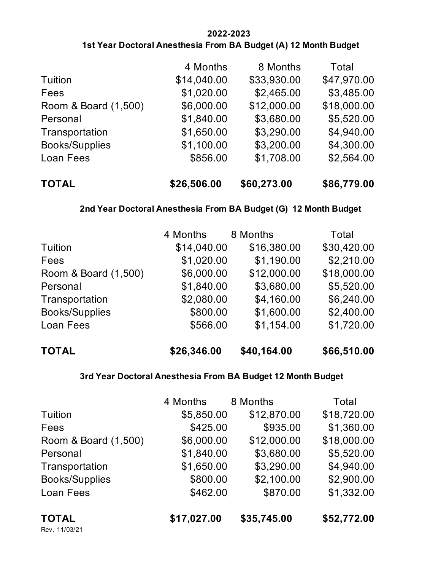#### **2022-2023 1st Year Doctoral Anesthesia From BA Budget (A) 12 Month Budget**

| <b>TOTAL</b>          | \$26,506.00 | \$60,273.00 | \$86,779.00 |
|-----------------------|-------------|-------------|-------------|
| Loan Fees             | \$856.00    | \$1,708.00  | \$2,564.00  |
| <b>Books/Supplies</b> | \$1,100.00  | \$3,200.00  | \$4,300.00  |
| Transportation        | \$1,650.00  | \$3,290.00  | \$4,940.00  |
| Personal              | \$1,840.00  | \$3,680.00  | \$5,520.00  |
| Room & Board (1,500)  | \$6,000.00  | \$12,000.00 | \$18,000.00 |
| Fees                  | \$1,020.00  | \$2,465.00  | \$3,485.00  |
| Tuition               | \$14,040.00 | \$33,930.00 | \$47,970.00 |
|                       | 4 Months    | 8 Months    | Total       |

#### **2nd Year Doctoral Anesthesia From BA Budget (G) 12 Month Budget**

| Tuition               | 4 Months<br>\$14,040.00 | 8 Months<br>\$16,380.00 | Total<br>\$30,420.00 |
|-----------------------|-------------------------|-------------------------|----------------------|
| Fees                  | \$1,020.00              | \$1,190.00              | \$2,210.00           |
| Room & Board (1,500)  | \$6,000.00              | \$12,000.00             | \$18,000.00          |
| Personal              | \$1,840.00              | \$3,680.00              | \$5,520.00           |
| Transportation        | \$2,080.00              | \$4,160.00              | \$6,240.00           |
| <b>Books/Supplies</b> | \$800.00                | \$1,600.00              | \$2,400.00           |
| Loan Fees             | \$566.00                | \$1,154.00              | \$1,720.00           |
| <b>TOTAL</b>          | \$26,346.00             | \$40,164.00             | \$66,510.00          |

#### **3rd Year Doctoral Anesthesia From BA Budget 12 Month Budget**

|                       | 4 Months    | 8 Months    | Total       |
|-----------------------|-------------|-------------|-------------|
| <b>Tuition</b>        | \$5,850.00  | \$12,870.00 | \$18,720.00 |
| Fees                  | \$425.00    | \$935.00    | \$1,360.00  |
| Room & Board (1,500)  | \$6,000.00  | \$12,000.00 | \$18,000.00 |
| Personal              | \$1,840.00  | \$3,680.00  | \$5,520.00  |
| Transportation        | \$1,650.00  | \$3,290.00  | \$4,940.00  |
| <b>Books/Supplies</b> | \$800.00    | \$2,100.00  | \$2,900.00  |
| Loan Fees             | \$462.00    | \$870.00    | \$1,332.00  |
| <b>TOTAL</b>          | \$17,027.00 | \$35,745.00 | \$52,772.00 |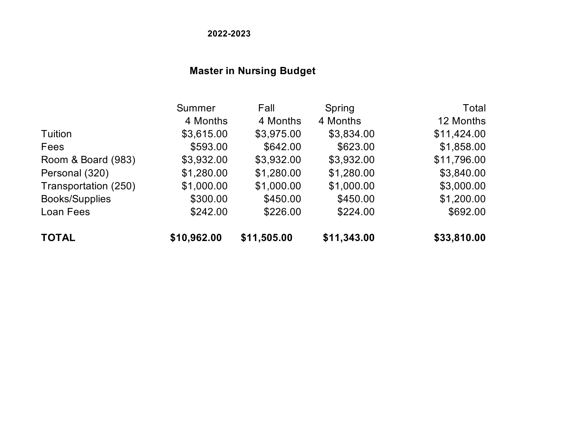**2022-2023**

# **Master in Nursing Budget**

|                       | Summer      | Fall        | Spring      | Total       |
|-----------------------|-------------|-------------|-------------|-------------|
|                       | 4 Months    | 4 Months    | 4 Months    | 12 Months   |
| Tuition               | \$3,615.00  | \$3,975.00  | \$3,834.00  | \$11,424.00 |
| Fees                  | \$593.00    | \$642.00    | \$623.00    | \$1,858.00  |
| Room & Board (983)    | \$3,932.00  | \$3,932.00  | \$3,932.00  | \$11,796.00 |
| Personal (320)        | \$1,280.00  | \$1,280.00  | \$1,280.00  | \$3,840.00  |
| Transportation (250)  | \$1,000.00  | \$1,000.00  | \$1,000.00  | \$3,000.00  |
| <b>Books/Supplies</b> | \$300.00    | \$450.00    | \$450.00    | \$1,200.00  |
| Loan Fees             | \$242.00    | \$226.00    | \$224.00    | \$692.00    |
| <b>TOTAL</b>          | \$10,962.00 | \$11,505.00 | \$11,343.00 | \$33,810.00 |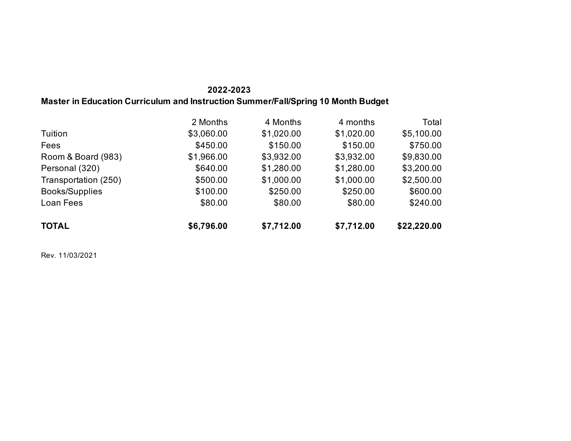### **2022-2023 Master in Education Curriculum and Instruction Summer/Fall/Spring 10 Month Budget**

|                       | 2 Months   | 4 Months   | 4 months   | Total       |
|-----------------------|------------|------------|------------|-------------|
| Tuition               | \$3,060.00 | \$1,020.00 | \$1,020.00 | \$5,100.00  |
| <b>Fees</b>           | \$450.00   | \$150.00   | \$150.00   | \$750.00    |
| Room & Board (983)    | \$1,966.00 | \$3,932.00 | \$3,932.00 | \$9,830.00  |
| Personal (320)        | \$640.00   | \$1,280.00 | \$1,280.00 | \$3,200.00  |
| Transportation (250)  | \$500.00   | \$1,000.00 | \$1,000.00 | \$2,500.00  |
| <b>Books/Supplies</b> | \$100.00   | \$250.00   | \$250.00   | \$600.00    |
| Loan Fees             | \$80.00    | \$80.00    | \$80.00    | \$240.00    |
| <b>TOTAL</b>          | \$6,796.00 | \$7,712.00 | \$7,712.00 | \$22,220.00 |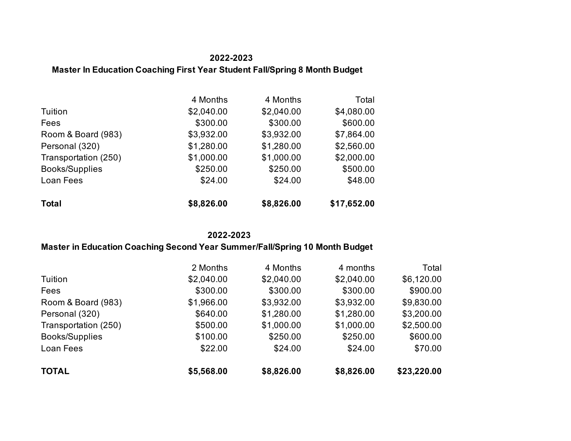### **2022-2023 Master In Education Coaching First Year Student Fall/Spring 8 Month Budget**

|                       | 4 Months   | 4 Months   | Total       |
|-----------------------|------------|------------|-------------|
| Tuition               | \$2,040.00 | \$2,040.00 | \$4,080.00  |
| Fees                  | \$300.00   | \$300.00   | \$600.00    |
| Room & Board (983)    | \$3,932.00 | \$3,932.00 | \$7,864.00  |
| Personal (320)        | \$1,280.00 | \$1,280.00 | \$2,560.00  |
| Transportation (250)  | \$1,000.00 | \$1,000.00 | \$2,000.00  |
| <b>Books/Supplies</b> | \$250.00   | \$250.00   | \$500.00    |
| Loan Fees             | \$24.00    | \$24.00    | \$48.00     |
| <b>Total</b>          | \$8,826.00 | \$8,826.00 | \$17,652.00 |

#### **2022-2023**

### **Master in Education Coaching Second Year Summer/Fall/Spring 10 Month Budget**

|                      | 2 Months   | 4 Months   | 4 months   | Total       |
|----------------------|------------|------------|------------|-------------|
| Tuition              | \$2,040.00 | \$2,040.00 | \$2,040.00 | \$6,120.00  |
| Fees                 | \$300.00   | \$300.00   | \$300.00   | \$900.00    |
| Room & Board (983)   | \$1,966.00 | \$3,932.00 | \$3,932.00 | \$9,830.00  |
| Personal (320)       | \$640.00   | \$1,280.00 | \$1,280.00 | \$3,200.00  |
| Transportation (250) | \$500.00   | \$1,000.00 | \$1,000.00 | \$2,500.00  |
| Books/Supplies       | \$100.00   | \$250.00   | \$250.00   | \$600.00    |
| Loan Fees            | \$22.00    | \$24.00    | \$24.00    | \$70.00     |
| <b>TOTAL</b>         | \$5,568.00 | \$8,826.00 | \$8,826.00 | \$23,220.00 |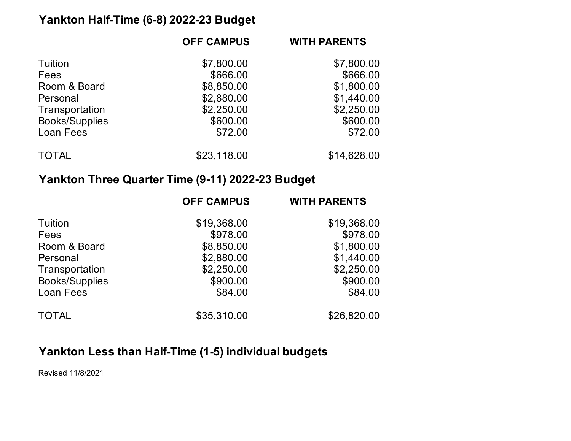## **Yankton Half-Time (6-8) 2022-23 Budget**

| <b>OFF CAMPUS</b> | <b>WITH PARENTS</b> |
|-------------------|---------------------|
| \$7,800.00        | \$7,800.00          |
| \$666.00          | \$666.00            |
| \$8,850.00        | \$1,800.00          |
| \$2,880.00        | \$1,440.00          |
| \$2,250.00        | \$2,250.00          |
| \$600.00          | \$600.00            |
| \$72.00           | \$72.00             |
| \$23,118.00       | \$14,628.00         |
|                   |                     |

## **Yankton Three Quarter Time (9-11) 2022-23 Budget**

|                       | <b>OFF CAMPUS</b> | <b>WITH PARENTS</b> |
|-----------------------|-------------------|---------------------|
| Tuition               | \$19,368.00       | \$19,368.00         |
| Fees                  | \$978.00          | \$978.00            |
| Room & Board          | \$8,850.00        | \$1,800.00          |
| Personal              | \$2,880.00        | \$1,440.00          |
| Transportation        | \$2,250.00        | \$2,250.00          |
| <b>Books/Supplies</b> | \$900.00          | \$900.00            |
| Loan Fees             | \$84.00           | \$84.00             |
| <b>TOTAL</b>          | \$35,310.00       | \$26,820.00         |

# **Yankton Less than Half-Time (1-5) individual budgets**

Revised 11/8/2021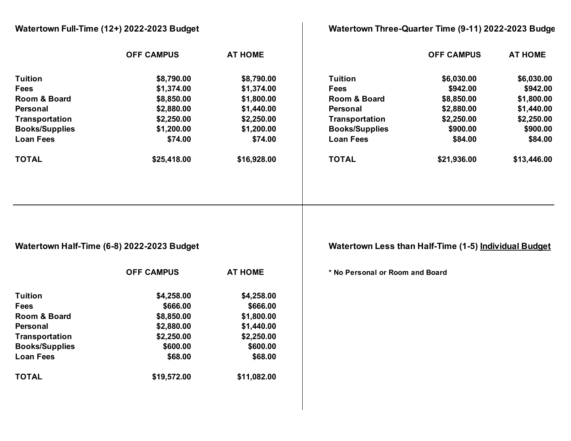|                       | Watertown Full-Time (12+) 2022-2023 Budget |                |                                 | Watertown Three-Quarter Time (9-11) 2022-2023 Budge   |                |
|-----------------------|--------------------------------------------|----------------|---------------------------------|-------------------------------------------------------|----------------|
|                       | <b>OFF CAMPUS</b>                          | <b>AT HOME</b> |                                 | <b>OFF CAMPUS</b>                                     | <b>AT HOME</b> |
| <b>Tuition</b>        | \$8,790.00                                 | \$8,790.00     | <b>Tuition</b>                  | \$6,030.00                                            | \$6,030.00     |
| <b>Fees</b>           | \$1,374.00                                 | \$1,374.00     | <b>Fees</b>                     | \$942.00                                              | \$942.00       |
| Room & Board          | \$8,850.00                                 | \$1,800.00     | Room & Board                    | \$8,850.00                                            | \$1,800.00     |
| <b>Personal</b>       | \$2,880.00                                 | \$1,440.00     | <b>Personal</b>                 | \$2,880.00                                            | \$1,440.00     |
| Transportation        | \$2,250.00                                 | \$2,250.00     | Transportation                  | \$2,250.00                                            | \$2,250.00     |
| <b>Books/Supplies</b> | \$1,200.00                                 | \$1,200.00     | <b>Books/Supplies</b>           | \$900.00                                              | \$900.00       |
| <b>Loan Fees</b>      | \$74.00                                    | \$74.00        | <b>Loan Fees</b>                | \$84.00                                               | \$84.00        |
| <b>TOTAL</b>          | \$25,418.00                                | \$16,928.00    | <b>TOTAL</b>                    | \$21,936.00                                           | \$13,446.00    |
|                       | Watertown Half-Time (6-8) 2022-2023 Budget |                |                                 | Watertown Less than Half-Time (1-5) Individual Budget |                |
|                       | <b>OFF CAMPUS</b>                          | <b>AT HOME</b> | * No Personal or Room and Board |                                                       |                |
| <b>Tuition</b>        | \$4,258.00                                 | \$4,258.00     |                                 |                                                       |                |
| <b>Fees</b>           | \$666.00                                   | \$666.00       |                                 |                                                       |                |
| Room & Board          | \$8,850.00                                 | \$1,800.00     |                                 |                                                       |                |
| <b>Personal</b>       | \$2,880.00                                 | \$1,440.00     |                                 |                                                       |                |
| Transportation        | \$2,250.00                                 | \$2,250.00     |                                 |                                                       |                |
| <b>Books/Supplies</b> | \$600.00                                   | \$600.00       |                                 |                                                       |                |
| <b>Loan Fees</b>      | \$68.00                                    | \$68.00        |                                 |                                                       |                |
| <b>TOTAL</b>          | \$19,572.00                                | \$11,082.00    |                                 |                                                       |                |
|                       |                                            |                |                                 |                                                       |                |